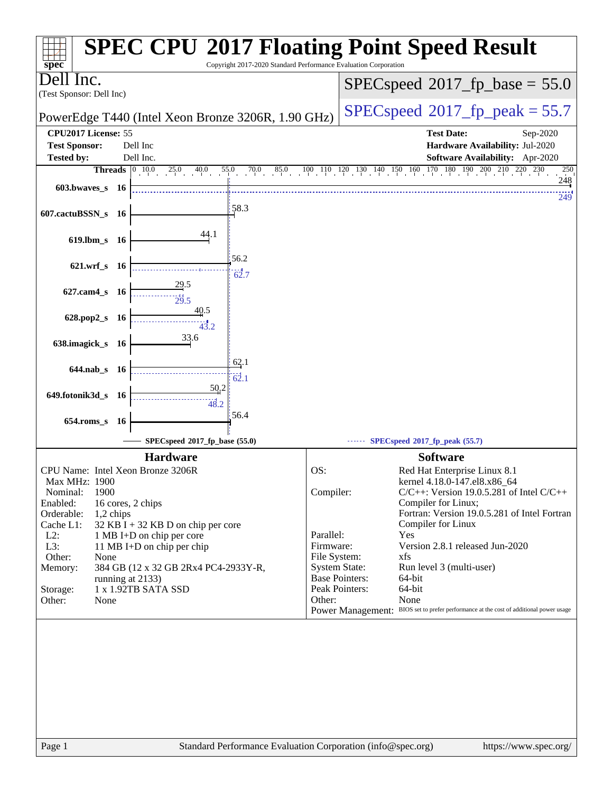| Copyright 2017-2020 Standard Performance Evaluation Corporation<br>$spec^*$                     | <b>SPEC CPU®2017 Floating Point Speed Result</b>                                                                                                      |
|-------------------------------------------------------------------------------------------------|-------------------------------------------------------------------------------------------------------------------------------------------------------|
| lnc.<br>ell<br>(Test Sponsor: Dell Inc)                                                         | $SPEC speed^{\circ}2017\_fp\_base = 55.0$                                                                                                             |
| PowerEdge T440 (Intel Xeon Bronze 3206R, 1.90 GHz)                                              | $SPEC speed^{\circ}2017$ fp peak = 55.7                                                                                                               |
| CPU2017 License: 55                                                                             | <b>Test Date:</b><br>Sep-2020                                                                                                                         |
| <b>Test Sponsor:</b><br>Dell Inc                                                                | Hardware Availability: Jul-2020                                                                                                                       |
| <b>Tested by:</b><br>Dell Inc.                                                                  | Software Availability: Apr-2020                                                                                                                       |
| <b>Threads</b> $\begin{bmatrix} 0 & 10.0 \end{bmatrix}$<br>25.0<br>70.0<br>85.0<br>40.0<br>55.0 | $100 \quad 110 \quad 120 \quad 130 \quad 140 \quad 150 \quad 160 \quad 170 \quad 180 \quad 190 \quad 200 \quad 210 \quad 220 \quad 230$<br>250<br>248 |
| 603.bwaves s 16                                                                                 | 249                                                                                                                                                   |
| 58.3<br>607.cactuBSSN_s 16                                                                      |                                                                                                                                                       |
| 44.1<br>$619$ .lbm_s<br>- 16                                                                    |                                                                                                                                                       |
| 56.2<br>$621.wrf$ <sub>S</sub><br>- 16                                                          |                                                                                                                                                       |
| 62.7<br>29.5                                                                                    |                                                                                                                                                       |
| $627$ .cam $4$ <sub>_S</sub><br>- 16<br>29.5                                                    |                                                                                                                                                       |
| <u>40</u> .5<br>628.pop2_s<br>- 16<br>43.2                                                      |                                                                                                                                                       |
| 33.6<br>638.imagick_s 16                                                                        |                                                                                                                                                       |
| 62.1<br>644.nab s 16                                                                            |                                                                                                                                                       |
| 62.1<br>50,2                                                                                    |                                                                                                                                                       |
| 649.fotonik3d_s<br>- 16<br>48.2                                                                 |                                                                                                                                                       |
| 56.4<br>$654$ .roms_s<br><b>16</b>                                                              |                                                                                                                                                       |
| SPECspeed®2017_fp_base (55.0)                                                                   | SPECspeed®2017_fp_peak (55.7)                                                                                                                         |
| <b>Hardware</b>                                                                                 | <b>Software</b>                                                                                                                                       |
| CPU Name: Intel Xeon Bronze 3206R                                                               | OS:<br>Red Hat Enterprise Linux 8.1                                                                                                                   |
| Max MHz: 1900                                                                                   | kernel 4.18.0-147.el8.x86_64                                                                                                                          |
| 1900<br>Nominal:<br>Enabled:<br>16 cores, 2 chips                                               | Compiler:<br>$C/C++$ : Version 19.0.5.281 of Intel $C/C++$<br>Compiler for Linux;                                                                     |
| Orderable:<br>1,2 chips                                                                         | Fortran: Version 19.0.5.281 of Intel Fortran                                                                                                          |
| $32$ KB I + 32 KB D on chip per core<br>Cache L1:<br>$L2$ :<br>1 MB I+D on chip per core        | Compiler for Linux<br>Parallel:<br>Yes                                                                                                                |
| L3:<br>11 MB I+D on chip per chip                                                               | Version 2.8.1 released Jun-2020<br>Firmware:                                                                                                          |
| Other:<br>None                                                                                  | File System:<br>xfs                                                                                                                                   |
| 384 GB (12 x 32 GB 2Rx4 PC4-2933Y-R,<br>Memory:                                                 | <b>System State:</b><br>Run level 3 (multi-user)                                                                                                      |
| running at 2133)<br>1 x 1.92TB SATA SSD                                                         | <b>Base Pointers:</b><br>64-bit<br>Peak Pointers:<br>64-bit                                                                                           |
| Storage:<br>Other:<br>None                                                                      | Other:<br>None                                                                                                                                        |
|                                                                                                 | Power Management: BIOS set to prefer performance at the cost of additional power usage                                                                |
|                                                                                                 |                                                                                                                                                       |
|                                                                                                 |                                                                                                                                                       |
|                                                                                                 |                                                                                                                                                       |
|                                                                                                 |                                                                                                                                                       |
|                                                                                                 |                                                                                                                                                       |
|                                                                                                 |                                                                                                                                                       |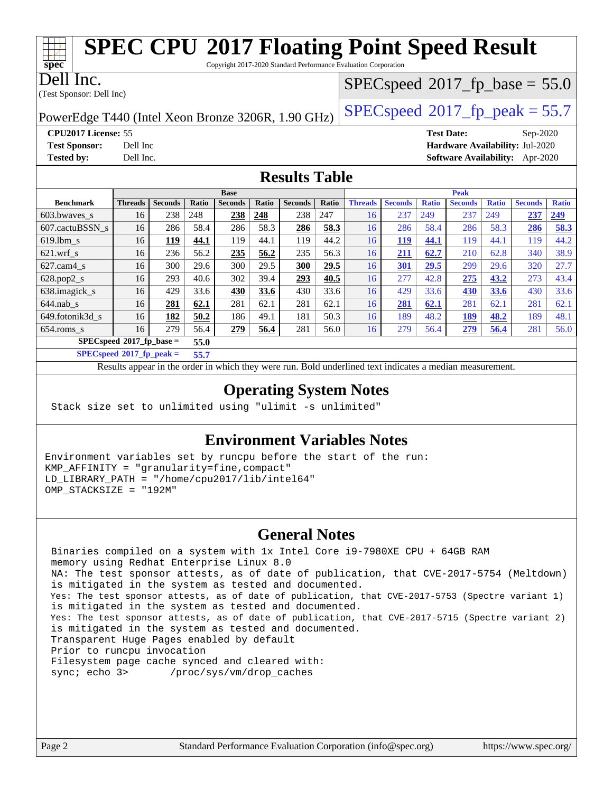### **[SPEC CPU](http://www.spec.org/auto/cpu2017/Docs/result-fields.html#SPECCPU2017FloatingPointSpeedResult)[2017 Floating Point Speed Result](http://www.spec.org/auto/cpu2017/Docs/result-fields.html#SPECCPU2017FloatingPointSpeedResult)** Copyright 2017-2020 Standard Performance Evaluation Corporation

(Test Sponsor: Dell Inc) Dell Inc.

# PowerEdge T440 (Intel Xeon Bronze 3206R, 1.90 GHz)  $\left|$  [SPECspeed](http://www.spec.org/auto/cpu2017/Docs/result-fields.html#SPECspeed2017fppeak)<sup>®</sup>[2017\\_fp\\_peak = 5](http://www.spec.org/auto/cpu2017/Docs/result-fields.html#SPECspeed2017fppeak)5.7

**[CPU2017 License:](http://www.spec.org/auto/cpu2017/Docs/result-fields.html#CPU2017License)** 55 **[Test Date:](http://www.spec.org/auto/cpu2017/Docs/result-fields.html#TestDate)** Sep-2020 **[Test Sponsor:](http://www.spec.org/auto/cpu2017/Docs/result-fields.html#TestSponsor)** Dell Inc **[Hardware Availability:](http://www.spec.org/auto/cpu2017/Docs/result-fields.html#HardwareAvailability)** Jul-2020 **[Tested by:](http://www.spec.org/auto/cpu2017/Docs/result-fields.html#Testedby)** Dell Inc. **[Software Availability:](http://www.spec.org/auto/cpu2017/Docs/result-fields.html#SoftwareAvailability)** Apr-2020

#### **[Results Table](http://www.spec.org/auto/cpu2017/Docs/result-fields.html#ResultsTable)**

| <b>Base</b>                 |                |                |       |                |       | <b>Peak</b>    |       |                |                |              |                |              |                |              |
|-----------------------------|----------------|----------------|-------|----------------|-------|----------------|-------|----------------|----------------|--------------|----------------|--------------|----------------|--------------|
| <b>Benchmark</b>            | <b>Threads</b> | <b>Seconds</b> | Ratio | <b>Seconds</b> | Ratio | <b>Seconds</b> | Ratio | <b>Threads</b> | <b>Seconds</b> | <b>Ratio</b> | <b>Seconds</b> | <b>Ratio</b> | <b>Seconds</b> | <b>Ratio</b> |
| 603.bwayes s                | 16             | 238            | 248   | 238            | 248   | 238            | 247   | 16             | 237            | 249          | 237            | 249          | 237            | 249          |
| 607.cactuBSSN s             | 16             | 286            | 58.4  | 286            | 58.3  | 286            | 58.3  | 16             | 286            | 58.4         | 286            | 58.3         | 286            | <u>58.3</u>  |
| $619.$ lbm s                | 16             | 119            | 44.1  | 119            | 44.1  | 119            | 44.2  | 16             | <b>119</b>     | 44.1         | 119            | 44.1         | 119            | 44.2         |
| $621$ wrf s                 | 16             | 236            | 56.2  | 235            | 56.2  | 235            | 56.3  | 16             | 211            | 62.7         | 210            | 62.8         | 340            | 38.9         |
| $627$ .cam4 s               | 16             | 300            | 29.6  | 300            | 29.5  | 300            | 29.5  | 16             | 301            | 29.5         | 299            | 29.6         | 320            | 27.7         |
| $628.pop2_s$                | 16             | 293            | 40.6  | 302            | 39.4  | 293            | 40.5  | 16             | 277            | 42.8         | 275            | 43.2         | 273            | 43.4         |
| 638.imagick_s               | 16             | 429            | 33.6  | 430            | 33.6  | 430            | 33.6  | 16             | 429            | 33.6         | 430            | 33.6         | 430            | 33.6         |
| $644$ .nab s                | 16             | 281            | 62.1  | 281            | 62.1  | 281            | 62.1  | 16             | 281            | 62.1         | 281            | 62.1         | 281            | 62.1         |
| 649.fotonik3d s             | 16             | 182            | 50.2  | 186            | 49.1  | 181            | 50.3  | 16             | 189            | 48.2         | <u>189</u>     | 48.2         | 189            | 48.1         |
| $654$ .roms s               | 16             | 279            | 56.4  | 279            | 56.4  | 281            | 56.0  | 16             | 279            | 56.4         | 279            | 56.4         | 281            | 56.0         |
| $SPECspeed*2017_fp\_base =$ |                |                | 55.0  |                |       |                |       |                |                |              |                |              |                |              |
|                             |                |                |       |                |       |                |       |                |                |              |                |              |                |              |

**[SPECspeed](http://www.spec.org/auto/cpu2017/Docs/result-fields.html#SPECspeed2017fppeak)[2017\\_fp\\_peak =](http://www.spec.org/auto/cpu2017/Docs/result-fields.html#SPECspeed2017fppeak) 55.7**

Results appear in the [order in which they were run.](http://www.spec.org/auto/cpu2017/Docs/result-fields.html#RunOrder) Bold underlined text [indicates a median measurement](http://www.spec.org/auto/cpu2017/Docs/result-fields.html#Median).

### **[Operating System Notes](http://www.spec.org/auto/cpu2017/Docs/result-fields.html#OperatingSystemNotes)**

Stack size set to unlimited using "ulimit -s unlimited"

### **[Environment Variables Notes](http://www.spec.org/auto/cpu2017/Docs/result-fields.html#EnvironmentVariablesNotes)**

Environment variables set by runcpu before the start of the run: KMP\_AFFINITY = "granularity=fine,compact" LD\_LIBRARY\_PATH = "/home/cpu2017/lib/intel64" OMP\_STACKSIZE = "192M"

#### **[General Notes](http://www.spec.org/auto/cpu2017/Docs/result-fields.html#GeneralNotes)**

 Binaries compiled on a system with 1x Intel Core i9-7980XE CPU + 64GB RAM memory using Redhat Enterprise Linux 8.0 NA: The test sponsor attests, as of date of publication, that CVE-2017-5754 (Meltdown) is mitigated in the system as tested and documented. Yes: The test sponsor attests, as of date of publication, that CVE-2017-5753 (Spectre variant 1) is mitigated in the system as tested and documented. Yes: The test sponsor attests, as of date of publication, that CVE-2017-5715 (Spectre variant 2) is mitigated in the system as tested and documented. Transparent Huge Pages enabled by default Prior to runcpu invocation Filesystem page cache synced and cleared with: sync; echo 3> /proc/sys/vm/drop\_caches

**[spec](http://www.spec.org/)**

### $SPECspeed*2017_fp\_base = 55.0$  $SPECspeed*2017_fp\_base = 55.0$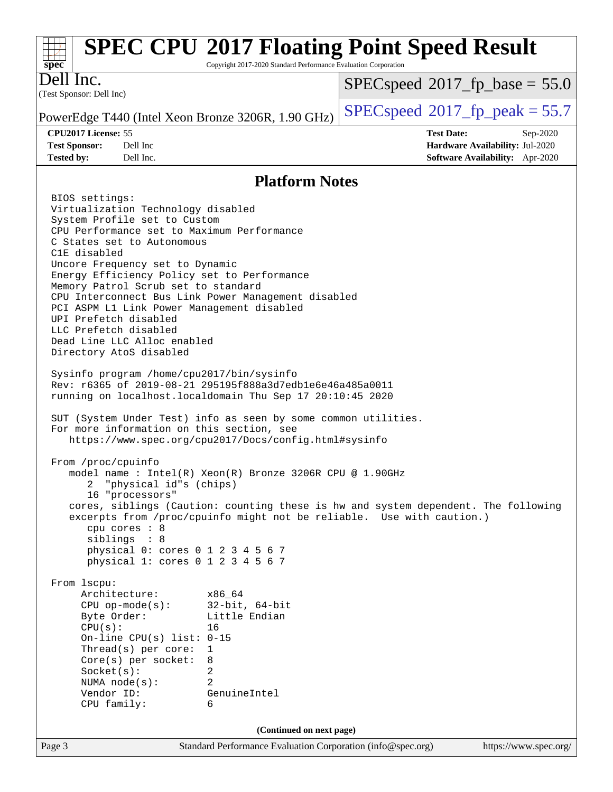#### Page 3 Standard Performance Evaluation Corporation [\(info@spec.org\)](mailto:info@spec.org) <https://www.spec.org/> **[spec](http://www.spec.org/) [SPEC CPU](http://www.spec.org/auto/cpu2017/Docs/result-fields.html#SPECCPU2017FloatingPointSpeedResult)[2017 Floating Point Speed Result](http://www.spec.org/auto/cpu2017/Docs/result-fields.html#SPECCPU2017FloatingPointSpeedResult)** Copyright 2017-2020 Standard Performance Evaluation Corporation (Test Sponsor: Dell Inc) Dell Inc. PowerEdge T440 (Intel Xeon Bronze 3206R, 1.90 GHz)  $\left|$  [SPECspeed](http://www.spec.org/auto/cpu2017/Docs/result-fields.html#SPECspeed2017fppeak)<sup>®</sup>[2017\\_fp\\_peak = 5](http://www.spec.org/auto/cpu2017/Docs/result-fields.html#SPECspeed2017fppeak)5.7  $SPECspeed*2017_fp\_base = 55.0$  $SPECspeed*2017_fp\_base = 55.0$ **[CPU2017 License:](http://www.spec.org/auto/cpu2017/Docs/result-fields.html#CPU2017License)** 55 **[Test Date:](http://www.spec.org/auto/cpu2017/Docs/result-fields.html#TestDate)** Sep-2020 **[Test Sponsor:](http://www.spec.org/auto/cpu2017/Docs/result-fields.html#TestSponsor)** Dell Inc **[Hardware Availability:](http://www.spec.org/auto/cpu2017/Docs/result-fields.html#HardwareAvailability)** Jul-2020 **[Tested by:](http://www.spec.org/auto/cpu2017/Docs/result-fields.html#Testedby)** Dell Inc. **[Software Availability:](http://www.spec.org/auto/cpu2017/Docs/result-fields.html#SoftwareAvailability)** Apr-2020 **[Platform Notes](http://www.spec.org/auto/cpu2017/Docs/result-fields.html#PlatformNotes)** BIOS settings: Virtualization Technology disabled System Profile set to Custom CPU Performance set to Maximum Performance C States set to Autonomous C1E disabled Uncore Frequency set to Dynamic Energy Efficiency Policy set to Performance Memory Patrol Scrub set to standard CPU Interconnect Bus Link Power Management disabled PCI ASPM L1 Link Power Management disabled UPI Prefetch disabled LLC Prefetch disabled Dead Line LLC Alloc enabled Directory AtoS disabled Sysinfo program /home/cpu2017/bin/sysinfo Rev: r6365 of 2019-08-21 295195f888a3d7edb1e6e46a485a0011 running on localhost.localdomain Thu Sep 17 20:10:45 2020 SUT (System Under Test) info as seen by some common utilities. For more information on this section, see <https://www.spec.org/cpu2017/Docs/config.html#sysinfo> From /proc/cpuinfo model name : Intel(R) Xeon(R) Bronze 3206R CPU @ 1.90GHz 2 "physical id"s (chips) 16 "processors" cores, siblings (Caution: counting these is hw and system dependent. The following excerpts from /proc/cpuinfo might not be reliable. Use with caution.) cpu cores : 8 siblings : 8 physical 0: cores 0 1 2 3 4 5 6 7 physical 1: cores 0 1 2 3 4 5 6 7 From lscpu: Architecture: x86\_64 CPU op-mode(s): 32-bit, 64-bit Byte Order: Little Endian CPU(s): 16 On-line CPU(s) list: 0-15 Thread(s) per core: 1 Core(s) per socket: 8 Socket(s): 2 NUMA node(s): 2 Vendor ID: GenuineIntel CPU family: 6 **(Continued on next page)**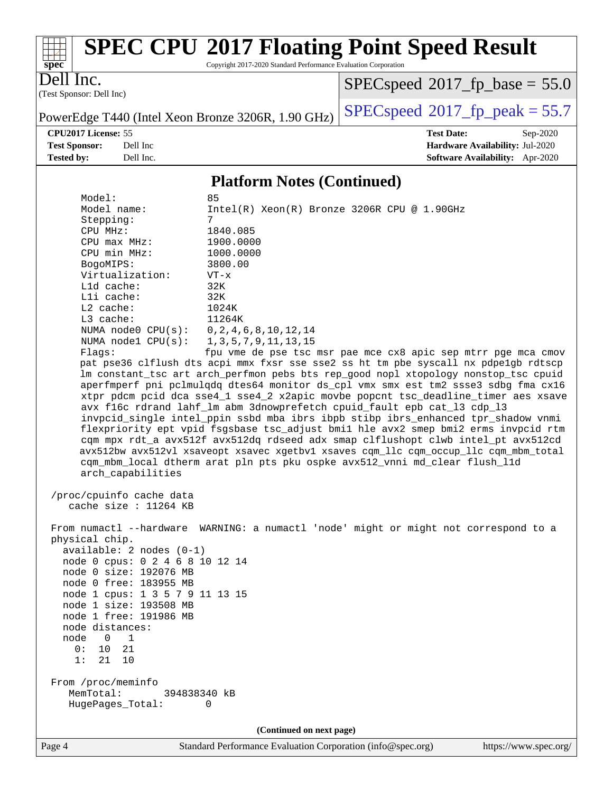

# **[SPEC CPU](http://www.spec.org/auto/cpu2017/Docs/result-fields.html#SPECCPU2017FloatingPointSpeedResult)[2017 Floating Point Speed Result](http://www.spec.org/auto/cpu2017/Docs/result-fields.html#SPECCPU2017FloatingPointSpeedResult)**

Copyright 2017-2020 Standard Performance Evaluation Corporation

(Test Sponsor: Dell Inc) Dell Inc.

 $SPECspeed*2017_fp\_base = 55.0$  $SPECspeed*2017_fp\_base = 55.0$ 

PowerEdge T440 (Intel Xeon Bronze 3206R, 1.90 GHz)  $\left|$  [SPECspeed](http://www.spec.org/auto/cpu2017/Docs/result-fields.html#SPECspeed2017fppeak)<sup>®</sup>[2017\\_fp\\_peak = 5](http://www.spec.org/auto/cpu2017/Docs/result-fields.html#SPECspeed2017fppeak)5.7

**[CPU2017 License:](http://www.spec.org/auto/cpu2017/Docs/result-fields.html#CPU2017License)** 55 **[Test Date:](http://www.spec.org/auto/cpu2017/Docs/result-fields.html#TestDate)** Sep-2020 **[Test Sponsor:](http://www.spec.org/auto/cpu2017/Docs/result-fields.html#TestSponsor)** Dell Inc **[Hardware Availability:](http://www.spec.org/auto/cpu2017/Docs/result-fields.html#HardwareAvailability)** Jul-2020 **[Tested by:](http://www.spec.org/auto/cpu2017/Docs/result-fields.html#Testedby)** Dell Inc. **[Software Availability:](http://www.spec.org/auto/cpu2017/Docs/result-fields.html#SoftwareAvailability)** Apr-2020

#### **[Platform Notes \(Continued\)](http://www.spec.org/auto/cpu2017/Docs/result-fields.html#PlatformNotes)**

Model:<br>Model name: Intel(R) Xeon(R) Bronze 3206R CPU @ 1.90GHz Stepping: 7 CPU MHz: 1840.085 CPU max MHz: 1900.0000 CPU min MHz: 1000.0000 BogoMIPS: 3800.00 Virtualization: VT-x L1d cache: 32K L1i cache: 32K L2 cache: 1024K L3 cache: 11264K NUMA node0 CPU(s): 0,2,4,6,8,10,12,14 NUMA node1 CPU(s): 1,3,5,7,9,11,13,15 Flags: fpu vme de pse tsc msr pae mce cx8 apic sep mtrr pge mca cmov pat pse36 clflush dts acpi mmx fxsr sse sse2 ss ht tm pbe syscall nx pdpe1gb rdtscp lm constant\_tsc art arch\_perfmon pebs bts rep\_good nopl xtopology nonstop\_tsc cpuid aperfmperf pni pclmulqdq dtes64 monitor ds\_cpl vmx smx est tm2 ssse3 sdbg fma cx16 xtpr pdcm pcid dca sse4\_1 sse4\_2 x2apic movbe popcnt tsc\_deadline\_timer aes xsave avx f16c rdrand lahf\_lm abm 3dnowprefetch cpuid\_fault epb cat\_l3 cdp\_l3 invpcid\_single intel\_ppin ssbd mba ibrs ibpb stibp ibrs\_enhanced tpr\_shadow vnmi flexpriority ept vpid fsgsbase tsc\_adjust bmi1 hle avx2 smep bmi2 erms invpcid rtm cqm mpx rdt\_a avx512f avx512dq rdseed adx smap clflushopt clwb intel\_pt avx512cd avx512bw avx512vl xsaveopt xsavec xgetbv1 xsaves cqm\_llc cqm\_occup\_llc cqm\_mbm\_total cqm\_mbm\_local dtherm arat pln pts pku ospke avx512\_vnni md\_clear flush\_l1d arch\_capabilities /proc/cpuinfo cache data cache size : 11264 KB From numactl --hardware WARNING: a numactl 'node' might or might not correspond to a physical chip. available: 2 nodes (0-1) node 0 cpus: 0 2 4 6 8 10 12 14 node 0 size: 192076 MB node 0 free: 183955 MB node 1 cpus: 1 3 5 7 9 11 13 15 node 1 size: 193508 MB node 1 free: 191986 MB node distances: node 0 1 0: 10 21 1: 21 10 From /proc/meminfo MemTotal: 394838340 kB HugePages\_Total: 0 **(Continued on next page)**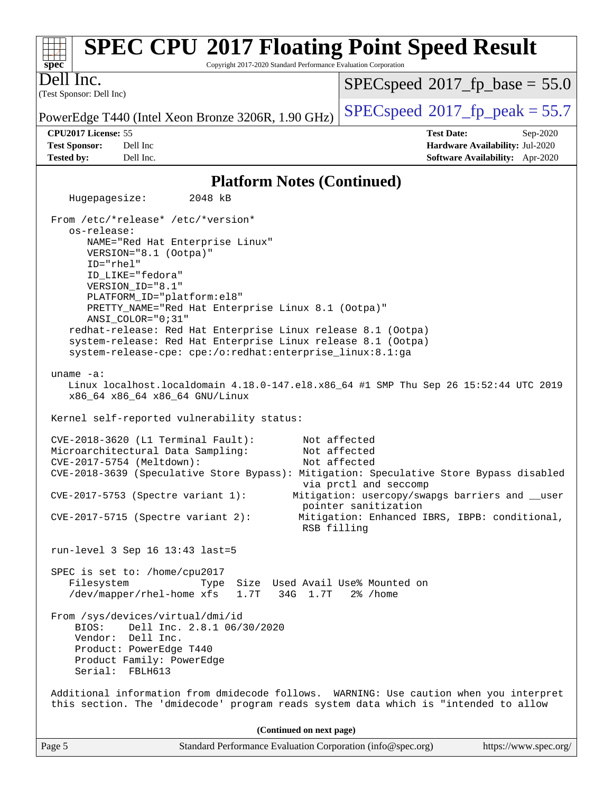#### **[spec](http://www.spec.org/) [SPEC CPU](http://www.spec.org/auto/cpu2017/Docs/result-fields.html#SPECCPU2017FloatingPointSpeedResult)[2017 Floating Point Speed Result](http://www.spec.org/auto/cpu2017/Docs/result-fields.html#SPECCPU2017FloatingPointSpeedResult)** Copyright 2017-2020 Standard Performance Evaluation Corporation (Test Sponsor: Dell Inc) Dell Inc. PowerEdge T440 (Intel Xeon Bronze 3206R, 1.90 GHz)  $\left|$  [SPECspeed](http://www.spec.org/auto/cpu2017/Docs/result-fields.html#SPECspeed2017fppeak)<sup>®</sup>[2017\\_fp\\_peak = 5](http://www.spec.org/auto/cpu2017/Docs/result-fields.html#SPECspeed2017fppeak)5.7  $SPECspeed*2017_fp\_base = 55.0$  $SPECspeed*2017_fp\_base = 55.0$ **[CPU2017 License:](http://www.spec.org/auto/cpu2017/Docs/result-fields.html#CPU2017License)** 55 **[Test Date:](http://www.spec.org/auto/cpu2017/Docs/result-fields.html#TestDate)** Sep-2020 **[Test Sponsor:](http://www.spec.org/auto/cpu2017/Docs/result-fields.html#TestSponsor)** Dell Inc **[Hardware Availability:](http://www.spec.org/auto/cpu2017/Docs/result-fields.html#HardwareAvailability)** Jul-2020 **[Tested by:](http://www.spec.org/auto/cpu2017/Docs/result-fields.html#Testedby)** Dell Inc. **[Software Availability:](http://www.spec.org/auto/cpu2017/Docs/result-fields.html#SoftwareAvailability)** Apr-2020 **[Platform Notes \(Continued\)](http://www.spec.org/auto/cpu2017/Docs/result-fields.html#PlatformNotes)** Hugepagesize: 2048 kB From /etc/\*release\* /etc/\*version\* os-release: NAME="Red Hat Enterprise Linux" VERSION="8.1 (Ootpa)" ID="rhel" ID\_LIKE="fedora" VERSION\_ID="8.1" PLATFORM\_ID="platform:el8" PRETTY\_NAME="Red Hat Enterprise Linux 8.1 (Ootpa)" ANSI\_COLOR="0;31" redhat-release: Red Hat Enterprise Linux release 8.1 (Ootpa) system-release: Red Hat Enterprise Linux release 8.1 (Ootpa) system-release-cpe: cpe:/o:redhat:enterprise\_linux:8.1:ga uname -a: Linux localhost.localdomain 4.18.0-147.el8.x86\_64 #1 SMP Thu Sep 26 15:52:44 UTC 2019 x86\_64 x86\_64 x86\_64 GNU/Linux Kernel self-reported vulnerability status: CVE-2018-3620 (L1 Terminal Fault): Not affected Microarchitectural Data Sampling: Not affected CVE-2017-5754 (Meltdown): Not affected CVE-2018-3639 (Speculative Store Bypass): Mitigation: Speculative Store Bypass disabled via prctl and seccomp CVE-2017-5753 (Spectre variant 1): Mitigation: usercopy/swapgs barriers and \_\_user pointer sanitization CVE-2017-5715 (Spectre variant 2): Mitigation: Enhanced IBRS, IBPB: conditional, RSB filling run-level 3 Sep 16 13:43 last=5 SPEC is set to: /home/cpu2017 Filesystem Type Size Used Avail Use% Mounted on /dev/mapper/rhel-home xfs 1.7T 34G 1.7T 2% /home From /sys/devices/virtual/dmi/id BIOS: Dell Inc. 2.8.1 06/30/2020 Vendor: Dell Inc. Product: PowerEdge T440 Product Family: PowerEdge Serial: FBLH613 Additional information from dmidecode follows. WARNING: Use caution when you interpret this section. The 'dmidecode' program reads system data which is "intended to allow **(Continued on next page)**

Page 5 Standard Performance Evaluation Corporation [\(info@spec.org\)](mailto:info@spec.org) <https://www.spec.org/>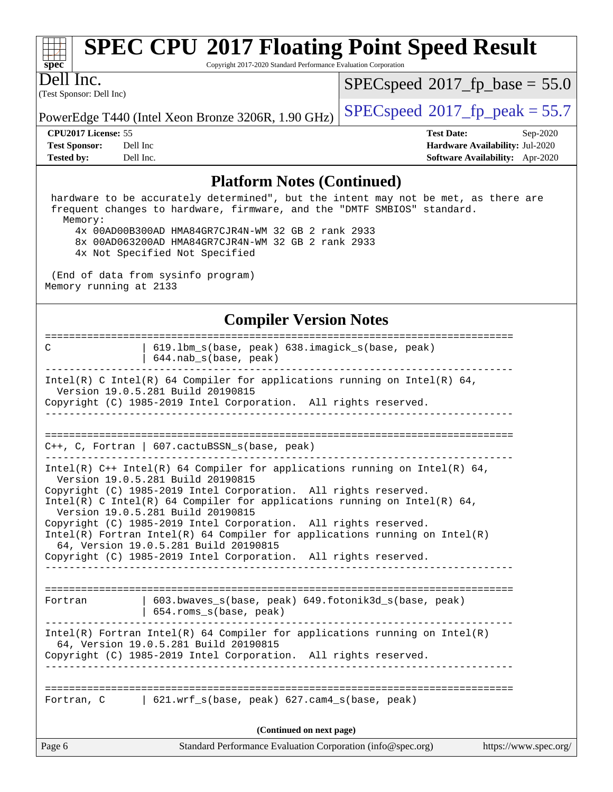# **[spec](http://www.spec.org/)**

# **[SPEC CPU](http://www.spec.org/auto/cpu2017/Docs/result-fields.html#SPECCPU2017FloatingPointSpeedResult)[2017 Floating Point Speed Result](http://www.spec.org/auto/cpu2017/Docs/result-fields.html#SPECCPU2017FloatingPointSpeedResult)**

Copyright 2017-2020 Standard Performance Evaluation Corporation

(Test Sponsor: Dell Inc) Dell Inc.

 $SPECspeed*2017_fp\_base = 55.0$  $SPECspeed*2017_fp\_base = 55.0$ 

PowerEdge T440 (Intel Xeon Bronze 3206R, 1.90 GHz)  $\left|$  [SPECspeed](http://www.spec.org/auto/cpu2017/Docs/result-fields.html#SPECspeed2017fppeak)<sup>®</sup>[2017\\_fp\\_peak = 5](http://www.spec.org/auto/cpu2017/Docs/result-fields.html#SPECspeed2017fppeak)5.7

**[Tested by:](http://www.spec.org/auto/cpu2017/Docs/result-fields.html#Testedby)** Dell Inc. **[Software Availability:](http://www.spec.org/auto/cpu2017/Docs/result-fields.html#SoftwareAvailability)** Apr-2020

**[CPU2017 License:](http://www.spec.org/auto/cpu2017/Docs/result-fields.html#CPU2017License)** 55 **[Test Date:](http://www.spec.org/auto/cpu2017/Docs/result-fields.html#TestDate)** Sep-2020 **[Test Sponsor:](http://www.spec.org/auto/cpu2017/Docs/result-fields.html#TestSponsor)** Dell Inc **[Hardware Availability:](http://www.spec.org/auto/cpu2017/Docs/result-fields.html#HardwareAvailability)** Jul-2020

#### **[Platform Notes \(Continued\)](http://www.spec.org/auto/cpu2017/Docs/result-fields.html#PlatformNotes)**

 hardware to be accurately determined", but the intent may not be met, as there are frequent changes to hardware, firmware, and the "DMTF SMBIOS" standard. Memory: 4x 00AD00B300AD HMA84GR7CJR4N-WM 32 GB 2 rank 2933 8x 00AD063200AD HMA84GR7CJR4N-WM 32 GB 2 rank 2933 4x Not Specified Not Specified

 (End of data from sysinfo program) Memory running at 2133

#### **[Compiler Version Notes](http://www.spec.org/auto/cpu2017/Docs/result-fields.html#CompilerVersionNotes)**

| Page 6                   | Standard Performance Evaluation Corporation (info@spec.org)                                                                                                                                                                                                                                                                                                                                                                                                                          | https://www.spec.org/ |  |  |
|--------------------------|--------------------------------------------------------------------------------------------------------------------------------------------------------------------------------------------------------------------------------------------------------------------------------------------------------------------------------------------------------------------------------------------------------------------------------------------------------------------------------------|-----------------------|--|--|
| (Continued on next page) |                                                                                                                                                                                                                                                                                                                                                                                                                                                                                      |                       |  |  |
|                          | Fortran, C [621.wrf_s(base, peak) 627.cam4_s(base, peak)                                                                                                                                                                                                                                                                                                                                                                                                                             |                       |  |  |
|                          | $Intel(R)$ Fortran Intel(R) 64 Compiler for applications running on Intel(R)<br>64, Version 19.0.5.281 Build 20190815<br>Copyright (C) 1985-2019 Intel Corporation. All rights reserved.                                                                                                                                                                                                                                                                                             |                       |  |  |
| Fortran                  | 603.bwaves_s(base, peak) 649.fotonik3d_s(base, peak)<br>654.roms_s(base, peak)                                                                                                                                                                                                                                                                                                                                                                                                       |                       |  |  |
|                          | Version 19.0.5.281 Build 20190815<br>Copyright (C) 1985-2019 Intel Corporation. All rights reserved.<br>Intel(R) C Intel(R) 64 Compiler for applications running on Intel(R) 64,<br>Version 19.0.5.281 Build 20190815<br>Copyright (C) 1985-2019 Intel Corporation. All rights reserved.<br>$Intel(R)$ Fortran Intel(R) 64 Compiler for applications running on Intel(R)<br>64, Version 19.0.5.281 Build 20190815<br>Copyright (C) 1985-2019 Intel Corporation. All rights reserved. |                       |  |  |
|                          | $C_{++}$ , C, Fortran   607.cactuBSSN_s(base, peak)<br>Intel(R) $C++$ Intel(R) 64 Compiler for applications running on Intel(R) 64,                                                                                                                                                                                                                                                                                                                                                  |                       |  |  |
|                          | Intel(R) C Intel(R) 64 Compiler for applications running on Intel(R) 64,<br>Version 19.0.5.281 Build 20190815<br>Copyright (C) 1985-2019 Intel Corporation. All rights reserved.                                                                                                                                                                                                                                                                                                     |                       |  |  |
| C                        | 619.1bm_s(base, peak) 638.imagick_s(base, peak)<br>644.nab_s(base, peak)                                                                                                                                                                                                                                                                                                                                                                                                             |                       |  |  |
|                          |                                                                                                                                                                                                                                                                                                                                                                                                                                                                                      |                       |  |  |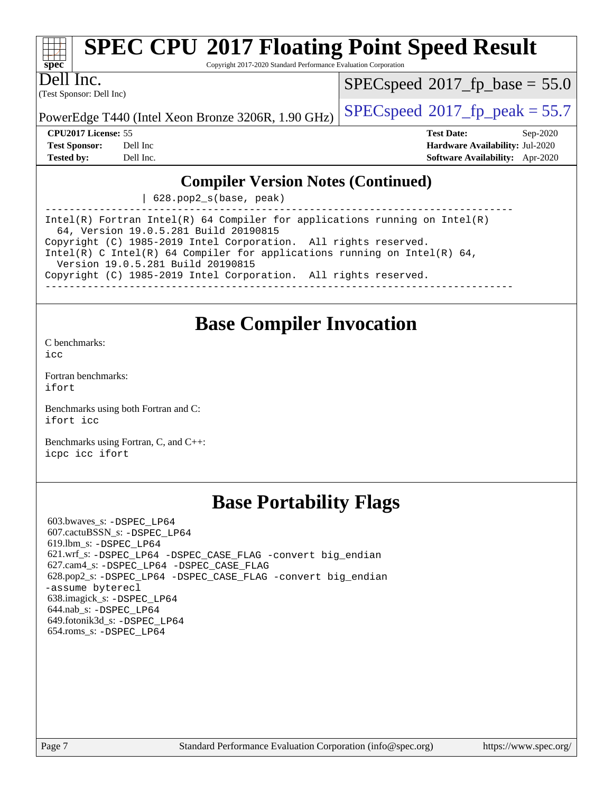# **[spec](http://www.spec.org/)**

# **[SPEC CPU](http://www.spec.org/auto/cpu2017/Docs/result-fields.html#SPECCPU2017FloatingPointSpeedResult)[2017 Floating Point Speed Result](http://www.spec.org/auto/cpu2017/Docs/result-fields.html#SPECCPU2017FloatingPointSpeedResult)**

Copyright 2017-2020 Standard Performance Evaluation Corporation

(Test Sponsor: Dell Inc) Dell Inc.

 $SPECspeed*2017_fp\_base = 55.0$  $SPECspeed*2017_fp\_base = 55.0$ 

PowerEdge T440 (Intel Xeon Bronze 3206R, 1.90 GHz)  $\left|$  [SPECspeed](http://www.spec.org/auto/cpu2017/Docs/result-fields.html#SPECspeed2017fppeak)®[2017\\_fp\\_peak = 5](http://www.spec.org/auto/cpu2017/Docs/result-fields.html#SPECspeed2017fppeak)5.7

**[CPU2017 License:](http://www.spec.org/auto/cpu2017/Docs/result-fields.html#CPU2017License)** 55 **[Test Date:](http://www.spec.org/auto/cpu2017/Docs/result-fields.html#TestDate)** Sep-2020 **[Test Sponsor:](http://www.spec.org/auto/cpu2017/Docs/result-fields.html#TestSponsor)** Dell Inc **[Hardware Availability:](http://www.spec.org/auto/cpu2017/Docs/result-fields.html#HardwareAvailability)** Jul-2020 **[Tested by:](http://www.spec.org/auto/cpu2017/Docs/result-fields.html#Testedby)** Dell Inc. **[Software Availability:](http://www.spec.org/auto/cpu2017/Docs/result-fields.html#SoftwareAvailability)** Apr-2020

#### **[Compiler Version Notes \(Continued\)](http://www.spec.org/auto/cpu2017/Docs/result-fields.html#CompilerVersionNotes)**

| 628.pop2\_s(base, peak)

------------------------------------------------------------------------------ Intel(R) Fortran Intel(R) 64 Compiler for applications running on Intel(R) 64, Version 19.0.5.281 Build 20190815 Copyright (C) 1985-2019 Intel Corporation. All rights reserved. Intel(R) C Intel(R) 64 Compiler for applications running on Intel(R) 64, Version 19.0.5.281 Build 20190815 Copyright (C) 1985-2019 Intel Corporation. All rights reserved. ------------------------------------------------------------------------------

## **[Base Compiler Invocation](http://www.spec.org/auto/cpu2017/Docs/result-fields.html#BaseCompilerInvocation)**

[C benchmarks](http://www.spec.org/auto/cpu2017/Docs/result-fields.html#Cbenchmarks): [icc](http://www.spec.org/cpu2017/results/res2020q4/cpu2017-20200928-24087.flags.html#user_CCbase_intel_icc_66fc1ee009f7361af1fbd72ca7dcefbb700085f36577c54f309893dd4ec40d12360134090235512931783d35fd58c0460139e722d5067c5574d8eaf2b3e37e92)

[Fortran benchmarks](http://www.spec.org/auto/cpu2017/Docs/result-fields.html#Fortranbenchmarks): [ifort](http://www.spec.org/cpu2017/results/res2020q4/cpu2017-20200928-24087.flags.html#user_FCbase_intel_ifort_8111460550e3ca792625aed983ce982f94888b8b503583aa7ba2b8303487b4d8a21a13e7191a45c5fd58ff318f48f9492884d4413fa793fd88dd292cad7027ca)

[Benchmarks using both Fortran and C](http://www.spec.org/auto/cpu2017/Docs/result-fields.html#BenchmarksusingbothFortranandC): [ifort](http://www.spec.org/cpu2017/results/res2020q4/cpu2017-20200928-24087.flags.html#user_CC_FCbase_intel_ifort_8111460550e3ca792625aed983ce982f94888b8b503583aa7ba2b8303487b4d8a21a13e7191a45c5fd58ff318f48f9492884d4413fa793fd88dd292cad7027ca) [icc](http://www.spec.org/cpu2017/results/res2020q4/cpu2017-20200928-24087.flags.html#user_CC_FCbase_intel_icc_66fc1ee009f7361af1fbd72ca7dcefbb700085f36577c54f309893dd4ec40d12360134090235512931783d35fd58c0460139e722d5067c5574d8eaf2b3e37e92)

[Benchmarks using Fortran, C, and C++:](http://www.spec.org/auto/cpu2017/Docs/result-fields.html#BenchmarksusingFortranCandCXX) [icpc](http://www.spec.org/cpu2017/results/res2020q4/cpu2017-20200928-24087.flags.html#user_CC_CXX_FCbase_intel_icpc_c510b6838c7f56d33e37e94d029a35b4a7bccf4766a728ee175e80a419847e808290a9b78be685c44ab727ea267ec2f070ec5dc83b407c0218cded6866a35d07) [icc](http://www.spec.org/cpu2017/results/res2020q4/cpu2017-20200928-24087.flags.html#user_CC_CXX_FCbase_intel_icc_66fc1ee009f7361af1fbd72ca7dcefbb700085f36577c54f309893dd4ec40d12360134090235512931783d35fd58c0460139e722d5067c5574d8eaf2b3e37e92) [ifort](http://www.spec.org/cpu2017/results/res2020q4/cpu2017-20200928-24087.flags.html#user_CC_CXX_FCbase_intel_ifort_8111460550e3ca792625aed983ce982f94888b8b503583aa7ba2b8303487b4d8a21a13e7191a45c5fd58ff318f48f9492884d4413fa793fd88dd292cad7027ca)

# **[Base Portability Flags](http://www.spec.org/auto/cpu2017/Docs/result-fields.html#BasePortabilityFlags)**

 603.bwaves\_s: [-DSPEC\\_LP64](http://www.spec.org/cpu2017/results/res2020q4/cpu2017-20200928-24087.flags.html#suite_basePORTABILITY603_bwaves_s_DSPEC_LP64) 607.cactuBSSN\_s: [-DSPEC\\_LP64](http://www.spec.org/cpu2017/results/res2020q4/cpu2017-20200928-24087.flags.html#suite_basePORTABILITY607_cactuBSSN_s_DSPEC_LP64) 619.lbm\_s: [-DSPEC\\_LP64](http://www.spec.org/cpu2017/results/res2020q4/cpu2017-20200928-24087.flags.html#suite_basePORTABILITY619_lbm_s_DSPEC_LP64) 621.wrf\_s: [-DSPEC\\_LP64](http://www.spec.org/cpu2017/results/res2020q4/cpu2017-20200928-24087.flags.html#suite_basePORTABILITY621_wrf_s_DSPEC_LP64) [-DSPEC\\_CASE\\_FLAG](http://www.spec.org/cpu2017/results/res2020q4/cpu2017-20200928-24087.flags.html#b621.wrf_s_baseCPORTABILITY_DSPEC_CASE_FLAG) [-convert big\\_endian](http://www.spec.org/cpu2017/results/res2020q4/cpu2017-20200928-24087.flags.html#user_baseFPORTABILITY621_wrf_s_convert_big_endian_c3194028bc08c63ac5d04de18c48ce6d347e4e562e8892b8bdbdc0214820426deb8554edfa529a3fb25a586e65a3d812c835984020483e7e73212c4d31a38223) 627.cam4\_s: [-DSPEC\\_LP64](http://www.spec.org/cpu2017/results/res2020q4/cpu2017-20200928-24087.flags.html#suite_basePORTABILITY627_cam4_s_DSPEC_LP64) [-DSPEC\\_CASE\\_FLAG](http://www.spec.org/cpu2017/results/res2020q4/cpu2017-20200928-24087.flags.html#b627.cam4_s_baseCPORTABILITY_DSPEC_CASE_FLAG) 628.pop2\_s: [-DSPEC\\_LP64](http://www.spec.org/cpu2017/results/res2020q4/cpu2017-20200928-24087.flags.html#suite_basePORTABILITY628_pop2_s_DSPEC_LP64) [-DSPEC\\_CASE\\_FLAG](http://www.spec.org/cpu2017/results/res2020q4/cpu2017-20200928-24087.flags.html#b628.pop2_s_baseCPORTABILITY_DSPEC_CASE_FLAG) [-convert big\\_endian](http://www.spec.org/cpu2017/results/res2020q4/cpu2017-20200928-24087.flags.html#user_baseFPORTABILITY628_pop2_s_convert_big_endian_c3194028bc08c63ac5d04de18c48ce6d347e4e562e8892b8bdbdc0214820426deb8554edfa529a3fb25a586e65a3d812c835984020483e7e73212c4d31a38223) [-assume byterecl](http://www.spec.org/cpu2017/results/res2020q4/cpu2017-20200928-24087.flags.html#user_baseFPORTABILITY628_pop2_s_assume_byterecl_7e47d18b9513cf18525430bbf0f2177aa9bf368bc7a059c09b2c06a34b53bd3447c950d3f8d6c70e3faf3a05c8557d66a5798b567902e8849adc142926523472) 638.imagick\_s: [-DSPEC\\_LP64](http://www.spec.org/cpu2017/results/res2020q4/cpu2017-20200928-24087.flags.html#suite_basePORTABILITY638_imagick_s_DSPEC_LP64) 644.nab\_s: [-DSPEC\\_LP64](http://www.spec.org/cpu2017/results/res2020q4/cpu2017-20200928-24087.flags.html#suite_basePORTABILITY644_nab_s_DSPEC_LP64) 649.fotonik3d\_s: [-DSPEC\\_LP64](http://www.spec.org/cpu2017/results/res2020q4/cpu2017-20200928-24087.flags.html#suite_basePORTABILITY649_fotonik3d_s_DSPEC_LP64) 654.roms\_s: [-DSPEC\\_LP64](http://www.spec.org/cpu2017/results/res2020q4/cpu2017-20200928-24087.flags.html#suite_basePORTABILITY654_roms_s_DSPEC_LP64)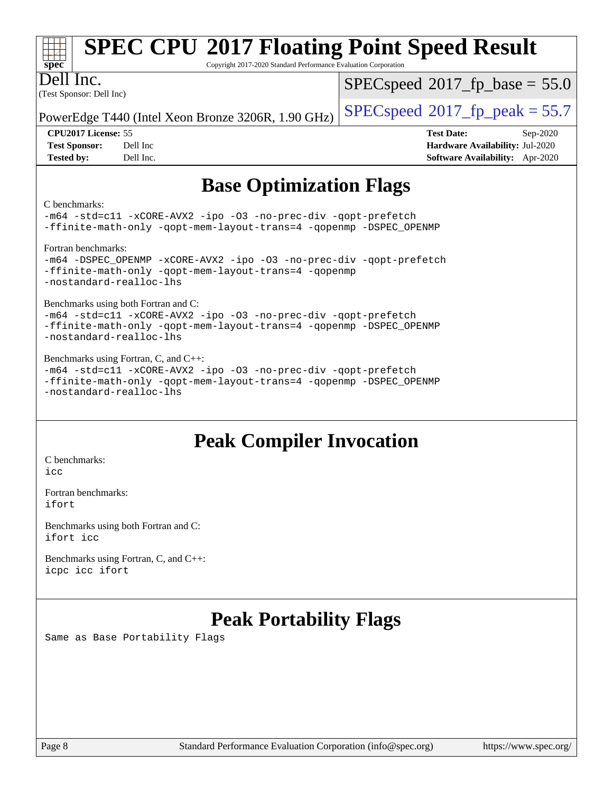| Spec                                  | <b>SPEC CPU®2017 Floating Point Speed Result</b><br>Copyright 2017-2020 Standard Performance Evaluation Corporation |                                         |
|---------------------------------------|---------------------------------------------------------------------------------------------------------------------|-----------------------------------------|
| Dell Inc.<br>(Test Sponsor: Dell Inc) |                                                                                                                     | $SPEC speed^{\circ}2017$ fp base = 55.0 |
|                                       | PowerEdge T440 (Intel Xeon Bronze 3206R, 1.90 GHz)                                                                  | $SPEC speed^{\circ}2017$ fp peak = 55.7 |
| <b>CPU2017 License: 55</b>            |                                                                                                                     | <b>Test Date:</b><br>$Sep-2020$         |
| <b>Test Sponsor:</b>                  | Dell Inc                                                                                                            | Hardware Availability: Jul-2020         |
| <b>Tested by:</b>                     | Dell Inc.                                                                                                           | <b>Software Availability:</b> Apr-2020  |

# **[Base Optimization Flags](http://www.spec.org/auto/cpu2017/Docs/result-fields.html#BaseOptimizationFlags)**

#### [C benchmarks](http://www.spec.org/auto/cpu2017/Docs/result-fields.html#Cbenchmarks):

[-m64](http://www.spec.org/cpu2017/results/res2020q4/cpu2017-20200928-24087.flags.html#user_CCbase_m64-icc) [-std=c11](http://www.spec.org/cpu2017/results/res2020q4/cpu2017-20200928-24087.flags.html#user_CCbase_std-icc-std_0e1c27790398a4642dfca32ffe6c27b5796f9c2d2676156f2e42c9c44eaad0c049b1cdb667a270c34d979996257aeb8fc440bfb01818dbc9357bd9d174cb8524) [-xCORE-AVX2](http://www.spec.org/cpu2017/results/res2020q4/cpu2017-20200928-24087.flags.html#user_CCbase_f-xCORE-AVX2) [-ipo](http://www.spec.org/cpu2017/results/res2020q4/cpu2017-20200928-24087.flags.html#user_CCbase_f-ipo) [-O3](http://www.spec.org/cpu2017/results/res2020q4/cpu2017-20200928-24087.flags.html#user_CCbase_f-O3) [-no-prec-div](http://www.spec.org/cpu2017/results/res2020q4/cpu2017-20200928-24087.flags.html#user_CCbase_f-no-prec-div) [-qopt-prefetch](http://www.spec.org/cpu2017/results/res2020q4/cpu2017-20200928-24087.flags.html#user_CCbase_f-qopt-prefetch) [-ffinite-math-only](http://www.spec.org/cpu2017/results/res2020q4/cpu2017-20200928-24087.flags.html#user_CCbase_f_finite_math_only_cb91587bd2077682c4b38af759c288ed7c732db004271a9512da14a4f8007909a5f1427ecbf1a0fb78ff2a814402c6114ac565ca162485bbcae155b5e4258871) [-qopt-mem-layout-trans=4](http://www.spec.org/cpu2017/results/res2020q4/cpu2017-20200928-24087.flags.html#user_CCbase_f-qopt-mem-layout-trans_fa39e755916c150a61361b7846f310bcdf6f04e385ef281cadf3647acec3f0ae266d1a1d22d972a7087a248fd4e6ca390a3634700869573d231a252c784941a8) [-qopenmp](http://www.spec.org/cpu2017/results/res2020q4/cpu2017-20200928-24087.flags.html#user_CCbase_qopenmp_16be0c44f24f464004c6784a7acb94aca937f053568ce72f94b139a11c7c168634a55f6653758ddd83bcf7b8463e8028bb0b48b77bcddc6b78d5d95bb1df2967) [-DSPEC\\_OPENMP](http://www.spec.org/cpu2017/results/res2020q4/cpu2017-20200928-24087.flags.html#suite_CCbase_DSPEC_OPENMP)

#### [Fortran benchmarks](http://www.spec.org/auto/cpu2017/Docs/result-fields.html#Fortranbenchmarks):

```
-m64 -DSPEC_OPENMP -xCORE-AVX2 -ipo -O3 -no-prec-div -qopt-prefetch
-ffinite-math-only -qopt-mem-layout-trans=4 -qopenmp
-nostandard-realloc-lhs
```
#### [Benchmarks using both Fortran and C](http://www.spec.org/auto/cpu2017/Docs/result-fields.html#BenchmarksusingbothFortranandC):

[-m64](http://www.spec.org/cpu2017/results/res2020q4/cpu2017-20200928-24087.flags.html#user_CC_FCbase_m64-icc) [-std=c11](http://www.spec.org/cpu2017/results/res2020q4/cpu2017-20200928-24087.flags.html#user_CC_FCbase_std-icc-std_0e1c27790398a4642dfca32ffe6c27b5796f9c2d2676156f2e42c9c44eaad0c049b1cdb667a270c34d979996257aeb8fc440bfb01818dbc9357bd9d174cb8524) [-xCORE-AVX2](http://www.spec.org/cpu2017/results/res2020q4/cpu2017-20200928-24087.flags.html#user_CC_FCbase_f-xCORE-AVX2) [-ipo](http://www.spec.org/cpu2017/results/res2020q4/cpu2017-20200928-24087.flags.html#user_CC_FCbase_f-ipo) [-O3](http://www.spec.org/cpu2017/results/res2020q4/cpu2017-20200928-24087.flags.html#user_CC_FCbase_f-O3) [-no-prec-div](http://www.spec.org/cpu2017/results/res2020q4/cpu2017-20200928-24087.flags.html#user_CC_FCbase_f-no-prec-div) [-qopt-prefetch](http://www.spec.org/cpu2017/results/res2020q4/cpu2017-20200928-24087.flags.html#user_CC_FCbase_f-qopt-prefetch) [-ffinite-math-only](http://www.spec.org/cpu2017/results/res2020q4/cpu2017-20200928-24087.flags.html#user_CC_FCbase_f_finite_math_only_cb91587bd2077682c4b38af759c288ed7c732db004271a9512da14a4f8007909a5f1427ecbf1a0fb78ff2a814402c6114ac565ca162485bbcae155b5e4258871) [-qopt-mem-layout-trans=4](http://www.spec.org/cpu2017/results/res2020q4/cpu2017-20200928-24087.flags.html#user_CC_FCbase_f-qopt-mem-layout-trans_fa39e755916c150a61361b7846f310bcdf6f04e385ef281cadf3647acec3f0ae266d1a1d22d972a7087a248fd4e6ca390a3634700869573d231a252c784941a8) [-qopenmp](http://www.spec.org/cpu2017/results/res2020q4/cpu2017-20200928-24087.flags.html#user_CC_FCbase_qopenmp_16be0c44f24f464004c6784a7acb94aca937f053568ce72f94b139a11c7c168634a55f6653758ddd83bcf7b8463e8028bb0b48b77bcddc6b78d5d95bb1df2967) [-DSPEC\\_OPENMP](http://www.spec.org/cpu2017/results/res2020q4/cpu2017-20200928-24087.flags.html#suite_CC_FCbase_DSPEC_OPENMP) [-nostandard-realloc-lhs](http://www.spec.org/cpu2017/results/res2020q4/cpu2017-20200928-24087.flags.html#user_CC_FCbase_f_2003_std_realloc_82b4557e90729c0f113870c07e44d33d6f5a304b4f63d4c15d2d0f1fab99f5daaed73bdb9275d9ae411527f28b936061aa8b9c8f2d63842963b95c9dd6426b8a)

[Benchmarks using Fortran, C, and C++](http://www.spec.org/auto/cpu2017/Docs/result-fields.html#BenchmarksusingFortranCandCXX): [-m64](http://www.spec.org/cpu2017/results/res2020q4/cpu2017-20200928-24087.flags.html#user_CC_CXX_FCbase_m64-icc) [-std=c11](http://www.spec.org/cpu2017/results/res2020q4/cpu2017-20200928-24087.flags.html#user_CC_CXX_FCbase_std-icc-std_0e1c27790398a4642dfca32ffe6c27b5796f9c2d2676156f2e42c9c44eaad0c049b1cdb667a270c34d979996257aeb8fc440bfb01818dbc9357bd9d174cb8524) [-xCORE-AVX2](http://www.spec.org/cpu2017/results/res2020q4/cpu2017-20200928-24087.flags.html#user_CC_CXX_FCbase_f-xCORE-AVX2) [-ipo](http://www.spec.org/cpu2017/results/res2020q4/cpu2017-20200928-24087.flags.html#user_CC_CXX_FCbase_f-ipo) [-O3](http://www.spec.org/cpu2017/results/res2020q4/cpu2017-20200928-24087.flags.html#user_CC_CXX_FCbase_f-O3) [-no-prec-div](http://www.spec.org/cpu2017/results/res2020q4/cpu2017-20200928-24087.flags.html#user_CC_CXX_FCbase_f-no-prec-div) [-qopt-prefetch](http://www.spec.org/cpu2017/results/res2020q4/cpu2017-20200928-24087.flags.html#user_CC_CXX_FCbase_f-qopt-prefetch) [-ffinite-math-only](http://www.spec.org/cpu2017/results/res2020q4/cpu2017-20200928-24087.flags.html#user_CC_CXX_FCbase_f_finite_math_only_cb91587bd2077682c4b38af759c288ed7c732db004271a9512da14a4f8007909a5f1427ecbf1a0fb78ff2a814402c6114ac565ca162485bbcae155b5e4258871) [-qopt-mem-layout-trans=4](http://www.spec.org/cpu2017/results/res2020q4/cpu2017-20200928-24087.flags.html#user_CC_CXX_FCbase_f-qopt-mem-layout-trans_fa39e755916c150a61361b7846f310bcdf6f04e385ef281cadf3647acec3f0ae266d1a1d22d972a7087a248fd4e6ca390a3634700869573d231a252c784941a8) [-qopenmp](http://www.spec.org/cpu2017/results/res2020q4/cpu2017-20200928-24087.flags.html#user_CC_CXX_FCbase_qopenmp_16be0c44f24f464004c6784a7acb94aca937f053568ce72f94b139a11c7c168634a55f6653758ddd83bcf7b8463e8028bb0b48b77bcddc6b78d5d95bb1df2967) [-DSPEC\\_OPENMP](http://www.spec.org/cpu2017/results/res2020q4/cpu2017-20200928-24087.flags.html#suite_CC_CXX_FCbase_DSPEC_OPENMP) [-nostandard-realloc-lhs](http://www.spec.org/cpu2017/results/res2020q4/cpu2017-20200928-24087.flags.html#user_CC_CXX_FCbase_f_2003_std_realloc_82b4557e90729c0f113870c07e44d33d6f5a304b4f63d4c15d2d0f1fab99f5daaed73bdb9275d9ae411527f28b936061aa8b9c8f2d63842963b95c9dd6426b8a)

## **[Peak Compiler Invocation](http://www.spec.org/auto/cpu2017/Docs/result-fields.html#PeakCompilerInvocation)**

[C benchmarks](http://www.spec.org/auto/cpu2017/Docs/result-fields.html#Cbenchmarks): [icc](http://www.spec.org/cpu2017/results/res2020q4/cpu2017-20200928-24087.flags.html#user_CCpeak_intel_icc_66fc1ee009f7361af1fbd72ca7dcefbb700085f36577c54f309893dd4ec40d12360134090235512931783d35fd58c0460139e722d5067c5574d8eaf2b3e37e92)

[Fortran benchmarks](http://www.spec.org/auto/cpu2017/Docs/result-fields.html#Fortranbenchmarks): [ifort](http://www.spec.org/cpu2017/results/res2020q4/cpu2017-20200928-24087.flags.html#user_FCpeak_intel_ifort_8111460550e3ca792625aed983ce982f94888b8b503583aa7ba2b8303487b4d8a21a13e7191a45c5fd58ff318f48f9492884d4413fa793fd88dd292cad7027ca)

[Benchmarks using both Fortran and C](http://www.spec.org/auto/cpu2017/Docs/result-fields.html#BenchmarksusingbothFortranandC): [ifort](http://www.spec.org/cpu2017/results/res2020q4/cpu2017-20200928-24087.flags.html#user_CC_FCpeak_intel_ifort_8111460550e3ca792625aed983ce982f94888b8b503583aa7ba2b8303487b4d8a21a13e7191a45c5fd58ff318f48f9492884d4413fa793fd88dd292cad7027ca) [icc](http://www.spec.org/cpu2017/results/res2020q4/cpu2017-20200928-24087.flags.html#user_CC_FCpeak_intel_icc_66fc1ee009f7361af1fbd72ca7dcefbb700085f36577c54f309893dd4ec40d12360134090235512931783d35fd58c0460139e722d5067c5574d8eaf2b3e37e92)

[Benchmarks using Fortran, C, and C++:](http://www.spec.org/auto/cpu2017/Docs/result-fields.html#BenchmarksusingFortranCandCXX) [icpc](http://www.spec.org/cpu2017/results/res2020q4/cpu2017-20200928-24087.flags.html#user_CC_CXX_FCpeak_intel_icpc_c510b6838c7f56d33e37e94d029a35b4a7bccf4766a728ee175e80a419847e808290a9b78be685c44ab727ea267ec2f070ec5dc83b407c0218cded6866a35d07) [icc](http://www.spec.org/cpu2017/results/res2020q4/cpu2017-20200928-24087.flags.html#user_CC_CXX_FCpeak_intel_icc_66fc1ee009f7361af1fbd72ca7dcefbb700085f36577c54f309893dd4ec40d12360134090235512931783d35fd58c0460139e722d5067c5574d8eaf2b3e37e92) [ifort](http://www.spec.org/cpu2017/results/res2020q4/cpu2017-20200928-24087.flags.html#user_CC_CXX_FCpeak_intel_ifort_8111460550e3ca792625aed983ce982f94888b8b503583aa7ba2b8303487b4d8a21a13e7191a45c5fd58ff318f48f9492884d4413fa793fd88dd292cad7027ca)

# **[Peak Portability Flags](http://www.spec.org/auto/cpu2017/Docs/result-fields.html#PeakPortabilityFlags)**

Same as Base Portability Flags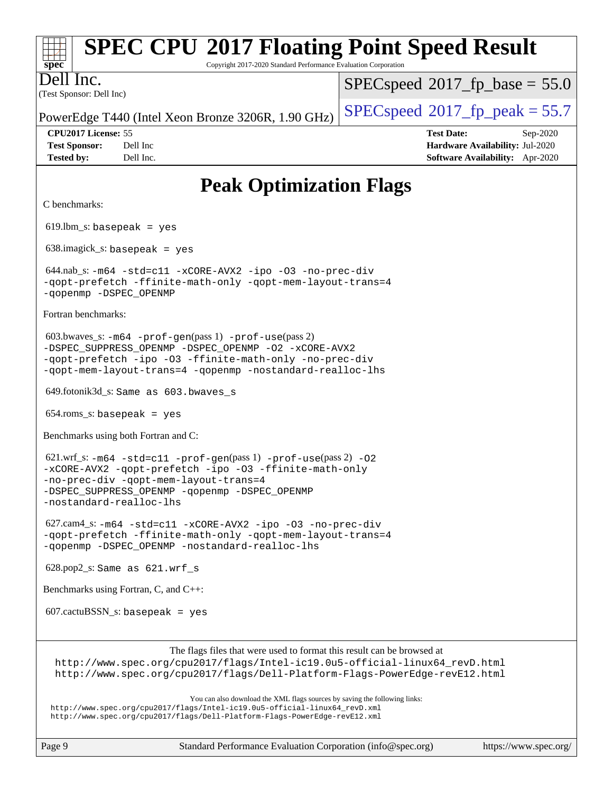#### **[spec](http://www.spec.org/) [SPEC CPU](http://www.spec.org/auto/cpu2017/Docs/result-fields.html#SPECCPU2017FloatingPointSpeedResult)[2017 Floating Point Speed Result](http://www.spec.org/auto/cpu2017/Docs/result-fields.html#SPECCPU2017FloatingPointSpeedResult)** Copyright 2017-2020 Standard Performance Evaluation Corporation (Test Sponsor: Dell Inc) Dell Inc. PowerEdge T440 (Intel Xeon Bronze 3206R, 1.90 GHz)  $\left|$  [SPECspeed](http://www.spec.org/auto/cpu2017/Docs/result-fields.html#SPECspeed2017fppeak)<sup>®</sup>[2017\\_fp\\_peak = 5](http://www.spec.org/auto/cpu2017/Docs/result-fields.html#SPECspeed2017fppeak)5.7  $SPECspeed*2017_fp\_base = 55.0$  $SPECspeed*2017_fp\_base = 55.0$ **[CPU2017 License:](http://www.spec.org/auto/cpu2017/Docs/result-fields.html#CPU2017License)** 55 **[Test Date:](http://www.spec.org/auto/cpu2017/Docs/result-fields.html#TestDate)** Sep-2020 **[Test Sponsor:](http://www.spec.org/auto/cpu2017/Docs/result-fields.html#TestSponsor)** Dell Inc **[Hardware Availability:](http://www.spec.org/auto/cpu2017/Docs/result-fields.html#HardwareAvailability)** Jul-2020 **[Tested by:](http://www.spec.org/auto/cpu2017/Docs/result-fields.html#Testedby)** Dell Inc. **[Software Availability:](http://www.spec.org/auto/cpu2017/Docs/result-fields.html#SoftwareAvailability)** Apr-2020 **[Peak Optimization Flags](http://www.spec.org/auto/cpu2017/Docs/result-fields.html#PeakOptimizationFlags)** [C benchmarks:](http://www.spec.org/auto/cpu2017/Docs/result-fields.html#Cbenchmarks) 619.lbm  $s:$  basepeak = yes 638.imagick\_s: basepeak = yes 644.nab\_s: [-m64](http://www.spec.org/cpu2017/results/res2020q4/cpu2017-20200928-24087.flags.html#user_peakCCLD644_nab_s_m64-icc) [-std=c11](http://www.spec.org/cpu2017/results/res2020q4/cpu2017-20200928-24087.flags.html#user_peakCCLD644_nab_s_std-icc-std_0e1c27790398a4642dfca32ffe6c27b5796f9c2d2676156f2e42c9c44eaad0c049b1cdb667a270c34d979996257aeb8fc440bfb01818dbc9357bd9d174cb8524) [-xCORE-AVX2](http://www.spec.org/cpu2017/results/res2020q4/cpu2017-20200928-24087.flags.html#user_peakCOPTIMIZE644_nab_s_f-xCORE-AVX2) [-ipo](http://www.spec.org/cpu2017/results/res2020q4/cpu2017-20200928-24087.flags.html#user_peakCOPTIMIZE644_nab_s_f-ipo) [-O3](http://www.spec.org/cpu2017/results/res2020q4/cpu2017-20200928-24087.flags.html#user_peakCOPTIMIZE644_nab_s_f-O3) [-no-prec-div](http://www.spec.org/cpu2017/results/res2020q4/cpu2017-20200928-24087.flags.html#user_peakCOPTIMIZE644_nab_s_f-no-prec-div) [-qopt-prefetch](http://www.spec.org/cpu2017/results/res2020q4/cpu2017-20200928-24087.flags.html#user_peakCOPTIMIZE644_nab_s_f-qopt-prefetch) [-ffinite-math-only](http://www.spec.org/cpu2017/results/res2020q4/cpu2017-20200928-24087.flags.html#user_peakCOPTIMIZE644_nab_s_f_finite_math_only_cb91587bd2077682c4b38af759c288ed7c732db004271a9512da14a4f8007909a5f1427ecbf1a0fb78ff2a814402c6114ac565ca162485bbcae155b5e4258871) [-qopt-mem-layout-trans=4](http://www.spec.org/cpu2017/results/res2020q4/cpu2017-20200928-24087.flags.html#user_peakCOPTIMIZE644_nab_s_f-qopt-mem-layout-trans_fa39e755916c150a61361b7846f310bcdf6f04e385ef281cadf3647acec3f0ae266d1a1d22d972a7087a248fd4e6ca390a3634700869573d231a252c784941a8) [-qopenmp](http://www.spec.org/cpu2017/results/res2020q4/cpu2017-20200928-24087.flags.html#user_peakCOPTIMIZE644_nab_s_qopenmp_16be0c44f24f464004c6784a7acb94aca937f053568ce72f94b139a11c7c168634a55f6653758ddd83bcf7b8463e8028bb0b48b77bcddc6b78d5d95bb1df2967) [-DSPEC\\_OPENMP](http://www.spec.org/cpu2017/results/res2020q4/cpu2017-20200928-24087.flags.html#suite_peakCOPTIMIZE644_nab_s_DSPEC_OPENMP) [Fortran benchmarks](http://www.spec.org/auto/cpu2017/Docs/result-fields.html#Fortranbenchmarks): 603.bwaves\_s: [-m64](http://www.spec.org/cpu2017/results/res2020q4/cpu2017-20200928-24087.flags.html#user_peakFCLD603_bwaves_s_m64-icc) [-prof-gen](http://www.spec.org/cpu2017/results/res2020q4/cpu2017-20200928-24087.flags.html#user_peakPASS1_FFLAGSPASS1_LDFLAGS603_bwaves_s_prof_gen_5aa4926d6013ddb2a31985c654b3eb18169fc0c6952a63635c234f711e6e63dd76e94ad52365559451ec499a2cdb89e4dc58ba4c67ef54ca681ffbe1461d6b36)(pass 1) [-prof-use](http://www.spec.org/cpu2017/results/res2020q4/cpu2017-20200928-24087.flags.html#user_peakPASS2_FFLAGSPASS2_LDFLAGS603_bwaves_s_prof_use_1a21ceae95f36a2b53c25747139a6c16ca95bd9def2a207b4f0849963b97e94f5260e30a0c64f4bb623698870e679ca08317ef8150905d41bd88c6f78df73f19)(pass 2) [-DSPEC\\_SUPPRESS\\_OPENMP](http://www.spec.org/cpu2017/results/res2020q4/cpu2017-20200928-24087.flags.html#suite_peakPASS1_FOPTIMIZE603_bwaves_s_DSPEC_SUPPRESS_OPENMP) [-DSPEC\\_OPENMP](http://www.spec.org/cpu2017/results/res2020q4/cpu2017-20200928-24087.flags.html#suite_peakPASS2_FOPTIMIZE603_bwaves_s_DSPEC_OPENMP) [-O2](http://www.spec.org/cpu2017/results/res2020q4/cpu2017-20200928-24087.flags.html#user_peakPASS1_FOPTIMIZE603_bwaves_s_f-O2) [-xCORE-AVX2](http://www.spec.org/cpu2017/results/res2020q4/cpu2017-20200928-24087.flags.html#user_peakPASS2_FOPTIMIZE603_bwaves_s_f-xCORE-AVX2) [-qopt-prefetch](http://www.spec.org/cpu2017/results/res2020q4/cpu2017-20200928-24087.flags.html#user_peakPASS1_FOPTIMIZEPASS2_FOPTIMIZE603_bwaves_s_f-qopt-prefetch) [-ipo](http://www.spec.org/cpu2017/results/res2020q4/cpu2017-20200928-24087.flags.html#user_peakPASS2_FOPTIMIZE603_bwaves_s_f-ipo) [-O3](http://www.spec.org/cpu2017/results/res2020q4/cpu2017-20200928-24087.flags.html#user_peakPASS2_FOPTIMIZE603_bwaves_s_f-O3) [-ffinite-math-only](http://www.spec.org/cpu2017/results/res2020q4/cpu2017-20200928-24087.flags.html#user_peakPASS1_FOPTIMIZEPASS2_FOPTIMIZE603_bwaves_s_f_finite_math_only_cb91587bd2077682c4b38af759c288ed7c732db004271a9512da14a4f8007909a5f1427ecbf1a0fb78ff2a814402c6114ac565ca162485bbcae155b5e4258871) [-no-prec-div](http://www.spec.org/cpu2017/results/res2020q4/cpu2017-20200928-24087.flags.html#user_peakPASS2_FOPTIMIZE603_bwaves_s_f-no-prec-div) [-qopt-mem-layout-trans=4](http://www.spec.org/cpu2017/results/res2020q4/cpu2017-20200928-24087.flags.html#user_peakPASS1_FOPTIMIZEPASS2_FOPTIMIZE603_bwaves_s_f-qopt-mem-layout-trans_fa39e755916c150a61361b7846f310bcdf6f04e385ef281cadf3647acec3f0ae266d1a1d22d972a7087a248fd4e6ca390a3634700869573d231a252c784941a8) [-qopenmp](http://www.spec.org/cpu2017/results/res2020q4/cpu2017-20200928-24087.flags.html#user_peakPASS2_FOPTIMIZE603_bwaves_s_qopenmp_16be0c44f24f464004c6784a7acb94aca937f053568ce72f94b139a11c7c168634a55f6653758ddd83bcf7b8463e8028bb0b48b77bcddc6b78d5d95bb1df2967) [-nostandard-realloc-lhs](http://www.spec.org/cpu2017/results/res2020q4/cpu2017-20200928-24087.flags.html#user_peakEXTRA_FOPTIMIZE603_bwaves_s_f_2003_std_realloc_82b4557e90729c0f113870c07e44d33d6f5a304b4f63d4c15d2d0f1fab99f5daaed73bdb9275d9ae411527f28b936061aa8b9c8f2d63842963b95c9dd6426b8a) 649.fotonik3d\_s: Same as 603.bwaves\_s 654.roms\_s: basepeak = yes [Benchmarks using both Fortran and C:](http://www.spec.org/auto/cpu2017/Docs/result-fields.html#BenchmarksusingbothFortranandC) 621.wrf\_s: [-m64](http://www.spec.org/cpu2017/results/res2020q4/cpu2017-20200928-24087.flags.html#user_peakCCFCLD621_wrf_s_m64-icc) [-std=c11](http://www.spec.org/cpu2017/results/res2020q4/cpu2017-20200928-24087.flags.html#user_peakCC621_wrf_s_std-icc-std_0e1c27790398a4642dfca32ffe6c27b5796f9c2d2676156f2e42c9c44eaad0c049b1cdb667a270c34d979996257aeb8fc440bfb01818dbc9357bd9d174cb8524) [-prof-gen](http://www.spec.org/cpu2017/results/res2020q4/cpu2017-20200928-24087.flags.html#user_peakPASS1_CFLAGSPASS1_FFLAGSPASS1_LDFLAGS621_wrf_s_prof_gen_5aa4926d6013ddb2a31985c654b3eb18169fc0c6952a63635c234f711e6e63dd76e94ad52365559451ec499a2cdb89e4dc58ba4c67ef54ca681ffbe1461d6b36)(pass 1) [-prof-use](http://www.spec.org/cpu2017/results/res2020q4/cpu2017-20200928-24087.flags.html#user_peakPASS2_CFLAGSPASS2_FFLAGSPASS2_LDFLAGS621_wrf_s_prof_use_1a21ceae95f36a2b53c25747139a6c16ca95bd9def2a207b4f0849963b97e94f5260e30a0c64f4bb623698870e679ca08317ef8150905d41bd88c6f78df73f19)(pass 2) [-O2](http://www.spec.org/cpu2017/results/res2020q4/cpu2017-20200928-24087.flags.html#user_peakPASS1_COPTIMIZEPASS1_FOPTIMIZE621_wrf_s_f-O2) [-xCORE-AVX2](http://www.spec.org/cpu2017/results/res2020q4/cpu2017-20200928-24087.flags.html#user_peakPASS2_COPTIMIZEPASS2_FOPTIMIZE621_wrf_s_f-xCORE-AVX2) [-qopt-prefetch](http://www.spec.org/cpu2017/results/res2020q4/cpu2017-20200928-24087.flags.html#user_peakPASS1_COPTIMIZEPASS1_FOPTIMIZEPASS2_COPTIMIZEPASS2_FOPTIMIZE621_wrf_s_f-qopt-prefetch) [-ipo](http://www.spec.org/cpu2017/results/res2020q4/cpu2017-20200928-24087.flags.html#user_peakPASS2_COPTIMIZEPASS2_FOPTIMIZE621_wrf_s_f-ipo) [-O3](http://www.spec.org/cpu2017/results/res2020q4/cpu2017-20200928-24087.flags.html#user_peakPASS2_COPTIMIZEPASS2_FOPTIMIZE621_wrf_s_f-O3) [-ffinite-math-only](http://www.spec.org/cpu2017/results/res2020q4/cpu2017-20200928-24087.flags.html#user_peakPASS1_COPTIMIZEPASS1_FOPTIMIZEPASS2_COPTIMIZEPASS2_FOPTIMIZE621_wrf_s_f_finite_math_only_cb91587bd2077682c4b38af759c288ed7c732db004271a9512da14a4f8007909a5f1427ecbf1a0fb78ff2a814402c6114ac565ca162485bbcae155b5e4258871) [-no-prec-div](http://www.spec.org/cpu2017/results/res2020q4/cpu2017-20200928-24087.flags.html#user_peakPASS2_COPTIMIZEPASS2_FOPTIMIZE621_wrf_s_f-no-prec-div) [-qopt-mem-layout-trans=4](http://www.spec.org/cpu2017/results/res2020q4/cpu2017-20200928-24087.flags.html#user_peakPASS1_COPTIMIZEPASS1_FOPTIMIZEPASS2_COPTIMIZEPASS2_FOPTIMIZE621_wrf_s_f-qopt-mem-layout-trans_fa39e755916c150a61361b7846f310bcdf6f04e385ef281cadf3647acec3f0ae266d1a1d22d972a7087a248fd4e6ca390a3634700869573d231a252c784941a8) [-DSPEC\\_SUPPRESS\\_OPENMP](http://www.spec.org/cpu2017/results/res2020q4/cpu2017-20200928-24087.flags.html#suite_peakPASS1_COPTIMIZEPASS1_FOPTIMIZE621_wrf_s_DSPEC_SUPPRESS_OPENMP) [-qopenmp](http://www.spec.org/cpu2017/results/res2020q4/cpu2017-20200928-24087.flags.html#user_peakPASS2_COPTIMIZEPASS2_FOPTIMIZE621_wrf_s_qopenmp_16be0c44f24f464004c6784a7acb94aca937f053568ce72f94b139a11c7c168634a55f6653758ddd83bcf7b8463e8028bb0b48b77bcddc6b78d5d95bb1df2967) [-DSPEC\\_OPENMP](http://www.spec.org/cpu2017/results/res2020q4/cpu2017-20200928-24087.flags.html#suite_peakPASS2_COPTIMIZEPASS2_FOPTIMIZE621_wrf_s_DSPEC_OPENMP) [-nostandard-realloc-lhs](http://www.spec.org/cpu2017/results/res2020q4/cpu2017-20200928-24087.flags.html#user_peakEXTRA_FOPTIMIZE621_wrf_s_f_2003_std_realloc_82b4557e90729c0f113870c07e44d33d6f5a304b4f63d4c15d2d0f1fab99f5daaed73bdb9275d9ae411527f28b936061aa8b9c8f2d63842963b95c9dd6426b8a) 627.cam4\_s: [-m64](http://www.spec.org/cpu2017/results/res2020q4/cpu2017-20200928-24087.flags.html#user_peakCCFCLD627_cam4_s_m64-icc) [-std=c11](http://www.spec.org/cpu2017/results/res2020q4/cpu2017-20200928-24087.flags.html#user_peakCC627_cam4_s_std-icc-std_0e1c27790398a4642dfca32ffe6c27b5796f9c2d2676156f2e42c9c44eaad0c049b1cdb667a270c34d979996257aeb8fc440bfb01818dbc9357bd9d174cb8524) [-xCORE-AVX2](http://www.spec.org/cpu2017/results/res2020q4/cpu2017-20200928-24087.flags.html#user_peakCOPTIMIZEFOPTIMIZE627_cam4_s_f-xCORE-AVX2) [-ipo](http://www.spec.org/cpu2017/results/res2020q4/cpu2017-20200928-24087.flags.html#user_peakCOPTIMIZEFOPTIMIZE627_cam4_s_f-ipo) [-O3](http://www.spec.org/cpu2017/results/res2020q4/cpu2017-20200928-24087.flags.html#user_peakCOPTIMIZEFOPTIMIZE627_cam4_s_f-O3) [-no-prec-div](http://www.spec.org/cpu2017/results/res2020q4/cpu2017-20200928-24087.flags.html#user_peakCOPTIMIZEFOPTIMIZE627_cam4_s_f-no-prec-div) [-qopt-prefetch](http://www.spec.org/cpu2017/results/res2020q4/cpu2017-20200928-24087.flags.html#user_peakCOPTIMIZEFOPTIMIZE627_cam4_s_f-qopt-prefetch) [-ffinite-math-only](http://www.spec.org/cpu2017/results/res2020q4/cpu2017-20200928-24087.flags.html#user_peakCOPTIMIZEFOPTIMIZE627_cam4_s_f_finite_math_only_cb91587bd2077682c4b38af759c288ed7c732db004271a9512da14a4f8007909a5f1427ecbf1a0fb78ff2a814402c6114ac565ca162485bbcae155b5e4258871) [-qopt-mem-layout-trans=4](http://www.spec.org/cpu2017/results/res2020q4/cpu2017-20200928-24087.flags.html#user_peakCOPTIMIZEFOPTIMIZE627_cam4_s_f-qopt-mem-layout-trans_fa39e755916c150a61361b7846f310bcdf6f04e385ef281cadf3647acec3f0ae266d1a1d22d972a7087a248fd4e6ca390a3634700869573d231a252c784941a8) [-qopenmp](http://www.spec.org/cpu2017/results/res2020q4/cpu2017-20200928-24087.flags.html#user_peakCOPTIMIZEFOPTIMIZE627_cam4_s_qopenmp_16be0c44f24f464004c6784a7acb94aca937f053568ce72f94b139a11c7c168634a55f6653758ddd83bcf7b8463e8028bb0b48b77bcddc6b78d5d95bb1df2967) [-DSPEC\\_OPENMP](http://www.spec.org/cpu2017/results/res2020q4/cpu2017-20200928-24087.flags.html#suite_peakCOPTIMIZEFOPTIMIZE627_cam4_s_DSPEC_OPENMP) [-nostandard-realloc-lhs](http://www.spec.org/cpu2017/results/res2020q4/cpu2017-20200928-24087.flags.html#user_peakEXTRA_FOPTIMIZE627_cam4_s_f_2003_std_realloc_82b4557e90729c0f113870c07e44d33d6f5a304b4f63d4c15d2d0f1fab99f5daaed73bdb9275d9ae411527f28b936061aa8b9c8f2d63842963b95c9dd6426b8a) 628.pop2\_s: Same as 621.wrf\_s [Benchmarks using Fortran, C, and C++:](http://www.spec.org/auto/cpu2017/Docs/result-fields.html#BenchmarksusingFortranCandCXX)  $607.cactuBSSN_s$ : basepeak = yes [The flags files that were used to format this result can be browsed at](tmsearch) [http://www.spec.org/cpu2017/flags/Intel-ic19.0u5-official-linux64\\_revD.html](http://www.spec.org/cpu2017/flags/Intel-ic19.0u5-official-linux64_revD.html) <http://www.spec.org/cpu2017/flags/Dell-Platform-Flags-PowerEdge-revE12.html> [You can also download the XML flags sources by saving the following links:](tmsearch) [http://www.spec.org/cpu2017/flags/Intel-ic19.0u5-official-linux64\\_revD.xml](http://www.spec.org/cpu2017/flags/Intel-ic19.0u5-official-linux64_revD.xml) <http://www.spec.org/cpu2017/flags/Dell-Platform-Flags-PowerEdge-revE12.xml>

Page 9 Standard Performance Evaluation Corporation [\(info@spec.org\)](mailto:info@spec.org) <https://www.spec.org/>